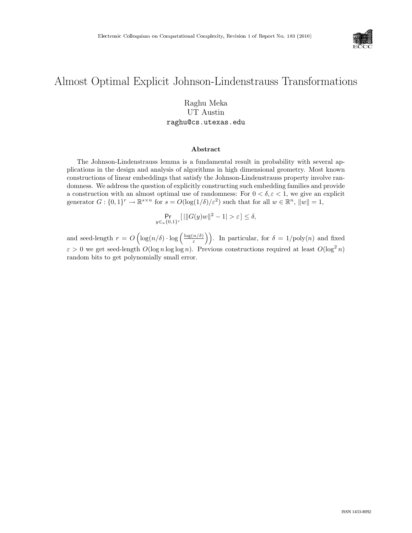

# Almost Optimal Explicit Johnson-Lindenstrauss Transformations

### Raghu Meka UT Austin raghu@cs.utexas.edu

#### Abstract

The Johnson-Lindenstrauss lemma is a fundamental result in probability with several applications in the design and analysis of algorithms in high dimensional geometry. Most known constructions of linear embeddings that satisfy the Johnson-Lindenstrauss property involve randomness. We address the question of explicitly constructing such embedding families and provide a construction with an almost optimal use of randomness: For  $0 < \delta, \varepsilon < 1$ , we give an explicit generator  $G: \{0,1\}^r \to \mathbb{R}^{s \times n}$  for  $s = O(\log(1/\delta)/\varepsilon^2)$  such that for all  $w \in \mathbb{R}^n$ ,  $\|w\| = 1$ ,

$$
\Pr_{y \in u\{0,1\}^r}[\||G(y)w\|^2 - 1| > \varepsilon] \le \delta,
$$

and seed-length  $r = O\left(\log(n/\delta) \cdot \log\left(\frac{\log(n/\delta)}{s}\right)\right)$  $\left(\frac{n/\delta}{\varepsilon}\right)$ . In particular, for  $\delta = 1/\text{poly}(n)$  and fixed  $\varepsilon > 0$  we get seed-length  $O(\log n \log \log n)$ . Previous constructions required at least  $O(\log^2 n)$ random bits to get polynomially small error.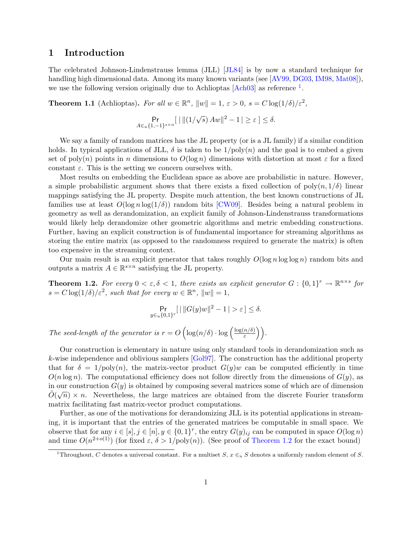### 1 Introduction

The celebrated Johnson-Lindenstrauss lemma (JLL) [\[JL84\]](#page-7-0) is by now a standard technique for handling high dimensional data. Among its many known variants (see [\[AV99,](#page-7-1) [DG03,](#page-7-2) [IM98,](#page-7-3) [Mat08\]](#page--1-0)), we use the following version originally due to Achlioptas  $[Ach03]$  as reference <sup>[1](#page-1-0)</sup>.

**Theorem 1.1** (Achlioptas). For all  $w \in \mathbb{R}^n$ ,  $||w|| = 1$ ,  $\varepsilon > 0$ ,  $s = C \log(1/\delta)/\varepsilon^2$ ,

$$
\Pr_{A \in_u \{1, -1\}^{s \times n}}[ \mid ||(1/\sqrt{s}) \, Aw||^2 - 1 \, | \geq \varepsilon \, ] \leq \delta.
$$

We say a family of random matrices has the JL property (or is a JL family) if a similar condition holds. In typical applications of JLL,  $\delta$  is taken to be  $1/poly(n)$  and the goal is to embed a given set of poly(n) points in n dimensions to  $O(\log n)$  dimensions with distortion at most  $\varepsilon$  for a fixed constant  $\varepsilon$ . This is the setting we concern ourselves with.

Most results on embedding the Euclidean space as above are probabilistic in nature. However, a simple probabilistic argument shows that there exists a fixed collection of  $\text{poly}(n, 1/\delta)$  linear mappings satisfying the JL property. Despite much attention, the best known constructions of JL families use at least  $O(\log n \log(1/\delta))$  random bits [\[CW09\]](#page-7-5). Besides being a natural problem in geometry as well as derandomization, an explicit family of Johnson-Lindenstrauss transformations would likely help derandomize other geometric algorithms and metric embedding constructions. Further, having an explicit construction is of fundamental importance for streaming algorithms as storing the entire matrix (as opposed to the randomness required to generate the matrix) is often too expensive in the streaming context.

Our main result is an explicit generator that takes roughly  $O(\log n \log \log n)$  random bits and outputs a matrix  $A \in \mathbb{R}^{s \times n}$  satisfying the JL property.

<span id="page-1-1"></span>**Theorem 1.2.** For every  $0 < \varepsilon, \delta < 1$ , there exists an explicit generator  $G : \{0,1\}^r \to \mathbb{R}^{n \times s}$  for  $s = C \log(1/\delta)/\varepsilon^2$ , such that for every  $w \in \mathbb{R}^n$ ,  $||w|| = 1$ ,

$$
\Pr_{y \in u\{0,1\}^r}[\,|\, \|G(y)w\|^2 - 1 \,| > \varepsilon \,] \le \delta.
$$

The seed-length of the generator is  $r = O\left(\log(n/\delta) \cdot \log\left(\frac{\log(n/\delta)}{s}\right)\right)$  $\left(\frac{n/\delta)}{\varepsilon}\right)\bigg).$ 

Our construction is elementary in nature using only standard tools in derandomization such as k-wise independence and oblivious samplers [\[Gol97\]](#page-7-6). The construction has the additional property that for  $\delta = 1/\text{poly}(n)$ , the matrix-vector product  $G(y)w$  can be computed efficiently in time  $O(n \log n)$ . The computational efficiency does not follow directly from the dimensions of  $G(y)$ , as in our construction  $G(y)$  is obtained by composing several matrices some of which are of dimension  $\tilde{O}(\sqrt{n}) \times n$ . Nevertheless, the large matrices are obtained from the discrete Fourier transform matrix facilitating fast matrix-vector product computations.

Further, as one of the motivations for derandomizing JLL is its potential applications in streaming, it is important that the entries of the generated matrices be computable in small space. We observe that for any  $i \in [s], j \in [n], y \in \{0,1\}^r$ , the entry  $G(y)_{ij}$  can be computed in space  $O(\log n)$ and time  $O(n^{2+o(1)})$  (for fixed  $\varepsilon$ ,  $\delta > 1/\text{poly}(n)$ ). (See proof of [Theorem 1.2](#page-1-1) for the exact bound)

<span id="page-1-0"></span><sup>&</sup>lt;sup>1</sup>Throughout, C denotes a universal constant. For a multiset S,  $x \in u$  S denotes a uniformly random element of S.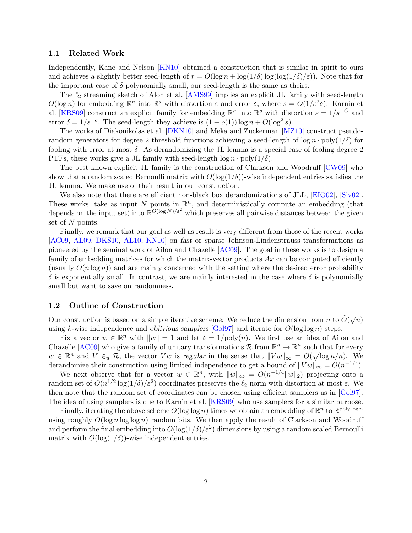#### 1.1 Related Work

Independently, Kane and Nelson [\[KN10\]](#page-7-7) obtained a construction that is similar in spirit to ours and achieves a slightly better seed-length of  $r = O(\log n + \log(1/\delta) \log(\log(1/\delta)/\varepsilon))$ . Note that for the important case of  $\delta$  polynomially small, our seed-length is the same as theirs.

The  $\ell_2$  streaming sketch of Alon et al. [\[AMS99\]](#page-7-8) implies an explicit JL family with seed-length  $O(\log n)$  for embedding  $\mathbb{R}^n$  into  $\mathbb{R}^s$  with distortion  $\varepsilon$  and error  $\delta$ , where  $s = O(1/\varepsilon^2\delta)$ . Karnin et al. [\[KRS09\]](#page-7-9) construct an explicit family for embedding  $\mathbb{R}^n$  into  $\mathbb{R}^s$  with distortion  $\varepsilon = 1/s^{-C}$  and error  $\delta = 1/s^{-c}$ . The seed-length they achieve is  $(1 + o(1)) \log n + O(\log^2 s)$ .

The works of Diakonikolas et al. [\[DKN10\]](#page-7-10) and Meka and Zuckerman [\[MZ10\]](#page--1-1) construct pseudorandom generators for degree 2 threshold functions achieving a seed-length of log  $n \cdot \text{poly}(1/\delta)$  for fooling with error at most  $\delta$ . As derandomizing the JL lemma is a special case of fooling degree 2 PTFs, these works give a JL family with seed-length  $\log n \cdot \text{poly}(1/\delta)$ .

The best known explicit JL family is the construction of Clarkson and Woodruff [\[CW09\]](#page-7-5) who show that a random scaled Bernoulli matrix with  $O(\log(1/\delta))$ -wise independent entries satisfies the JL lemma. We make use of their result in our construction.

We also note that there are efficient non-black box derandomizations of JLL, [\[EIO02\]](#page-7-11), [\[Siv02\]](#page--1-2). These works, take as input N points in  $\mathbb{R}^n$ , and deterministically compute an embedding (that depends on the input set) into  $\mathbb{R}^{O(\log N)/\varepsilon^2}$  which preserves all pairwise distances between the given set of N points.

Finally, we remark that our goal as well as result is very different from those of the recent works [\[AC09,](#page-7-12) [AL09,](#page-7-13) [DKS10,](#page-7-14) [AL10,](#page-7-15) [KN10\]](#page-7-7) on fast or sparse Johnson-Lindenstrauss transformations as pioneered by the seminal work of Ailon and Chazelle [\[AC09\]](#page-7-12). The goal in these works is to design a family of embedding matrices for which the matrix-vector products  $Ax$  can be computed efficiently (usually  $O(n \log n)$ ) and are mainly concerned with the setting where the desired error probability  $\delta$  is exponentially small. In contrast, we are mainly interested in the case where  $\delta$  is polynomially small but want to save on randomness.

#### 1.2 Outline of Construction

Our construction is based on a simple iterative scheme: We reduce the dimension from n to  $\tilde{O}(\sqrt{n})$ using k-wise independence and *oblivious samplers* [\[Gol97\]](#page-7-6) and iterate for  $O(\log \log n)$  steps.

Fix a vector  $w \in \mathbb{R}^n$  with  $||w|| = 1$  and let  $\delta = 1/\text{poly}(n)$ . We first use an idea of Ailon and Chazelle [\[AC09\]](#page-7-12) who give a family of unitary transformations  $\mathcal R$  from  $\mathbb R^n \to \mathbb R^n$  such that for every  $w \in \mathbb{R}^n$  and  $V \in_u \mathcal{R}$ , the vector  $Vw$  is regular in the sense that  $||Vw||_{\infty} = O(\sqrt{\log n/n})$ . We derandomize their construction using limited independence to get a bound of  $||Vw||_{\infty} = O(n^{-1/4})$ .

We next observe that for a vector  $w \in \mathbb{R}^n$ , with  $||w||_{\infty} = O(n^{-1/4}||w||_2)$  projecting onto a random set of  $O(n^{1/2} \log(1/\delta)/\varepsilon^2)$  coordinates preserves the  $\ell_2$  norm with distortion at most  $\varepsilon$ . We then note that the random set of coordinates can be chosen using efficient samplers as in [\[Gol97\]](#page-7-6). The idea of using samplers is due to Karnin et al. [\[KRS09\]](#page-7-9) who use samplers for a similar purpose.

Finally, iterating the above scheme  $O(\log \log n)$  times we obtain an embedding of  $\mathbb{R}^n$  to  $\mathbb{R}^{\text{poly}\log n}$ using roughly  $O(\log n \log \log n)$  random bits. We then apply the result of Clarkson and Woodruff and perform the final embedding into  $O(\log(1/\delta)/\varepsilon^2)$  dimensions by using a random scaled Bernoulli matrix with  $O(\log(1/\delta))$ -wise independent entries.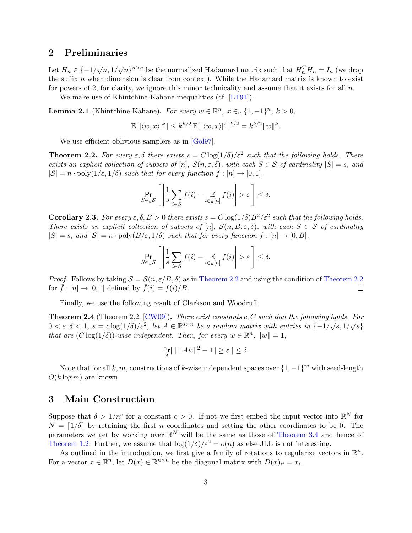### 2 Preliminaries

Let  $H_n \in \{-1/\sqrt{n}, 1/\sqrt{n}\}^{n \times n}$  be the normalized Hadamard matrix such that  $H_n^T H_n = I_n$  (we drop the suffix  $n$  when dimension is clear from context). While the Hadamard matrix is known to exist for powers of 2, for clarity, we ignore this minor technicality and assume that it exists for all  $n$ .

We make use of Khintchine-Kahane inequalities (cf. [\[LT91\]](#page--1-3)).

<span id="page-3-1"></span>**Lemma 2.1** (Khintchine-Kahane). For every  $w \in \mathbb{R}^n$ ,  $x \in_u \{1, -1\}^n$ ,  $k > 0$ ,

$$
\mathbb{E}[|\langle w, x \rangle|^k] \le k^{k/2} \mathbb{E}[|\langle w, x \rangle|^2]^{k/2} = k^{k/2} \|w\|^k.
$$

We use efficient oblivious samplers as in [\[Gol97\]](#page-7-6).

<span id="page-3-0"></span>**Theorem 2.2.** For every  $\varepsilon, \delta$  there exists  $s = C \log(1/\delta)/\varepsilon^2$  such that the following holds. There exists an explicit collection of subsets of  $[n]$ ,  $\mathcal{S}(n,\varepsilon,\delta)$ , with each  $S \in \mathcal{S}$  of cardinality  $|S| = s$ , and  $|S| = n \cdot \text{poly}(1/\varepsilon, 1/\delta)$  such that for every function  $f : [n] \to [0, 1]$ ,

$$
\Pr_{S \in u\mathcal{S}} \left[ \left| \frac{1}{s} \sum_{i \in S} f(i) - \mathop{\mathbb{E}}_{i \in u[n]} f(i) \right| > \varepsilon \right] \le \delta.
$$

<span id="page-3-2"></span>**Corollary 2.3.** For every  $\varepsilon, \delta, B > 0$  there exists  $s = C \log(1/\delta) B^2 / \varepsilon^2$  such that the following holds. There exists an explicit collection of subsets of [n],  $\mathcal{S}(n, B, \varepsilon, \delta)$ , with each  $S \in \mathcal{S}$  of cardinality  $|S| = s$ , and  $|S| = n \cdot \text{poly}(B/\varepsilon, 1/\delta)$  such that for every function  $f : [n] \to [0, B],$ 

$$
\Pr_{S \in u\mathcal{S}} \left[ \left| \frac{1}{s} \sum_{i \in S} f(i) - \mathop{\mathbb{E}}_{i \in u[n]} f(i) \right| > \varepsilon \right] \le \delta.
$$

*Proof.* Follows by taking  $S = \mathcal{S}(n, \varepsilon/B, \delta)$  as in [Theorem 2.2](#page-3-0) and using the condition of Theorem 2.2 for  $\bar{f} : [n] \to [0, 1]$  defined by  $\bar{f}(i) = f(i)/B$ .  $\Box$ 

Finally, we use the following result of Clarkson and Woodruff.

<span id="page-3-4"></span>**Theorem 2.4** (Theorem 2.2,  $[CW09]$ ). There exist constants c, C such that the following holds. For **Theorem 2.4** (Theorem 2.2, [CWO9]). There exist constants  $c, C$  such that the following holds. For  $0 < \varepsilon, \delta < 1$ ,  $s = c \log(1/\delta)/\varepsilon^2$ , let  $A \in \mathbb{R}^{s \times n}$  be a random matrix with entries in  $\{-1/\sqrt{s}, 1/\sqrt{s}\}$ that are  $(C \log(1/\delta))$ -wise independent. Then, for every  $w \in \mathbb{R}^n$ ,  $||w|| = 1$ ,

$$
\Pr_A[ \ ||Aw||^2 - 1 \, \vert \ge \varepsilon \, ] \le \delta.
$$

Note that for all k, m, constructions of k-wise independent spaces over  $\{1, -1\}^m$  with seed-length  $O(k \log m)$  are known.

### 3 Main Construction

Suppose that  $\delta > 1/n^c$  for a constant  $c > 0$ . If not we first embed the input vector into  $\mathbb{R}^N$  for  $N = \lfloor 1/\delta \rfloor$  by retaining the first n coordinates and setting the other coordinates to be 0. The parameters we get by working over  $\mathbb{R}^N$  will be the same as those of [Theorem 3.4](#page-5-0) and hence of [Theorem 1.2.](#page-1-1) Further, we assume that  $\log(1/\delta)/\epsilon^2 = o(n)$  as else JLL is not interesting.

<span id="page-3-3"></span>As outlined in the introduction, we first give a family of rotations to regularize vectors in  $\mathbb{R}^n$ . For a vector  $x \in \mathbb{R}^n$ , let  $D(x) \in \mathbb{R}^{n \times n}$  be the diagonal matrix with  $D(x)_{ii} = x_i$ .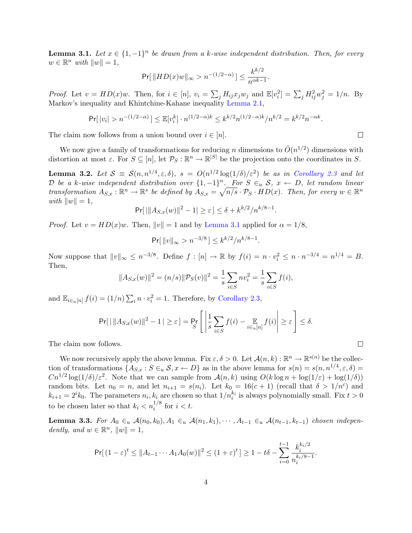**Lemma 3.1.** Let  $x \in \{1, -1\}^n$  be drawn from a k-wise independent distribution. Then, for every  $w \in \mathbb{R}^n$  with  $||w|| = 1$ ,

$$
\Pr[\|HD(x)w\|_{\infty} > n^{-(1/2-\alpha)}] \le \frac{k^{k/2}}{n^{\alpha k - 1}}.
$$

*Proof.* Let  $v = HD(x)w$ . Then, for  $i \in [n]$ ,  $v_i = \sum_j H_{ij} x_j w_j$  and  $\mathbb{E}[v_i^2] = \sum_j H_{ij}^2 w_j^2 = 1/n$ . By Markov's inequality and Khintchine-Kahane inequality [Lemma 2.1,](#page-3-1)

$$
\Pr[|v_i| > n^{-(1/2-\alpha)}] \le \mathbb{E}[v_i^k] \cdot n^{(1/2-\alpha)k} \le k^{k/2} n^{(1/2-\alpha)k} / n^{k/2} = k^{k/2} n^{-\alpha k}.
$$

The claim now follows from a union bound over  $i \in [n]$ .

We now give a family of transformations for reducing n dimensions to  $\tilde{O}(n^{1/2})$  dimensions with distortion at most  $\varepsilon$ . For  $S \subseteq [n]$ , let  $\mathcal{P}_S : \mathbb{R}^n \to \mathbb{R}^{|S|}$  be the projection onto the coordinates in S.

<span id="page-4-0"></span>**Lemma 3.2.** Let  $S \equiv S(n, n^{1/4}, \varepsilon, \delta)$ ,  $s = O(n^{1/2} \log(1/\delta)/\varepsilon^2)$  be as in [Corollary 2.3](#page-3-2) and let D be a k-wise independent distribution over  $\{1,-1\}^n$ . For  $S \in_u \mathcal{S}$ ,  $x \leftarrow D$ , let random linear transformation  $A_{S,x} : \mathbb{R}^n \to \mathbb{R}^s$  be defined by  $\overline{A_{S,x}} = \sqrt{n/s} \cdot \mathcal{P}_S \cdot HD(x)$ . Then, for every  $w \in \mathbb{R}^n$ with  $||w|| = 1$ ,

$$
Pr[|||A_{S,x}(w)||^2 - 1| \ge \varepsilon] \le \delta + k^{k/2}/n^{k/8 - 1}.
$$

*Proof.* Let  $v = HD(x)w$ . Then,  $||v|| = 1$  and by [Lemma 3.1](#page-3-3) applied for  $\alpha = 1/8$ ,

$$
\Pr[\|v\|_{\infty} > n^{-3/8}] \le k^{k/2}/n^{k/8-1}.
$$

Now suppose that  $||v||_{\infty} \leq n^{-3/8}$ . Define  $f : [n] \to \mathbb{R}$  by  $f(i) = n \cdot v_i^2 \leq n \cdot n^{-3/4} = n^{1/4} = B$ . Then,

$$
||A_{S,x}(w)||^2 = (n/s)||\mathcal{P}_S(v)||^2 = \frac{1}{s} \sum_{i \in S} n v_i^2 = \frac{1}{s} \sum_{i \in S} f(i),
$$

and  $\mathbb{E}_{i\in [n]} f(i) = (1/n) \sum_i n \cdot v_i^2 = 1$ . Therefore, by [Corollary 2.3,](#page-3-2)

$$
\Pr[|\ ||A_{S,x}(w)||^2 - 1| \geq \varepsilon] = \Pr_{S} \left[ \left| \frac{1}{s} \sum_{i \in S} f(i) - \mathop{\mathbb{E}}_{i \in u[n]} f(i) \right| \geq \varepsilon \right] \leq \delta.
$$

The claim now follows.

We now recursively apply the above lemma. Fix  $\varepsilon, \delta > 0$ . Let  $\mathcal{A}(n, k) : \mathbb{R}^n \to \mathbb{R}^{s(n)}$  be the collection of transformations  $\{A_{S,x}: S \in u \text{ } S, x \leftarrow D\}$  as in the above lemma for  $s(n) = s(n, n^{1/4}, \varepsilon, \delta) =$  $Cn^{1/2}\log(1/\delta)/\epsilon^2$ . Note that we can sample from  $\mathcal{A}(n,k)$  using  $O(k\log n + \log(1/\epsilon) + \log(1/\delta))$ random bits. Let  $n_0 = n$ , and let  $n_{i+1} = s(n_i)$ . Let  $k_0 = 16(c+1)$  (recall that  $\delta > 1/n^c$ ) and  $k_{i+1} = 2^i k_0$ . The parameters  $n_i, k_i$  are chosen so that  $1/n_i^{k_i}$  is always polynomially small. Fix  $t > 0$ to be chosen later so that  $k_i < n_i^{1/8}$  for  $i < t$ .

<span id="page-4-1"></span>Lemma 3.3. For  $A_0 \in_u \mathcal{A}(n_0, k_0), A_1 \in_u \mathcal{A}(n_1, k_1), \cdots, A_{t-1} \in_u \mathcal{A}(n_{t-1}, k_{t-1})$  chosen independently, and  $w \in \mathbb{R}^n$ ,  $||w|| = 1$ ,

$$
\Pr[\left(1-\varepsilon\right)^t \leq \|A_{t-1} \cdots A_1 A_0(w)\|^2 \leq (1+\varepsilon)^t] \geq 1 - t\delta - \sum_{i=0}^{t-1} \frac{k_i^{k_i/2}}{n_i^{k_i/8 - 1}}.
$$

 $\Box$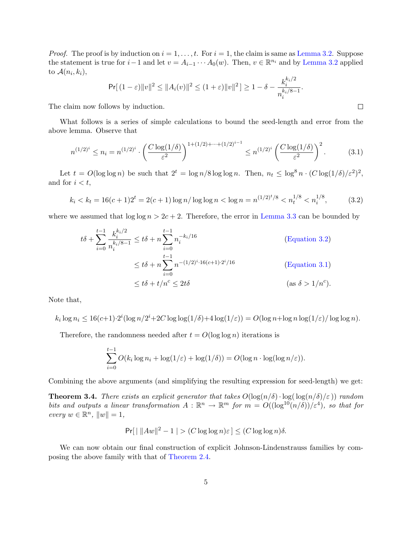*Proof.* The proof is by induction on  $i = 1, \ldots, t$ . For  $i = 1$ , the claim is same as [Lemma 3.2.](#page-4-0) Suppose the statement is true for  $i-1$  and let  $v = A_{i-1} \cdots A_0(w)$ . Then,  $v \in \mathbb{R}^{n_i}$  and by [Lemma 3.2](#page-4-0) applied to  $\mathcal{A}(n_i,k_i)$ ,  $k/2$ 

<span id="page-5-2"></span>
$$
\Pr[(1-\varepsilon)\|v\|^2 \leq \|A_i(v)\|^2 \leq (1+\varepsilon)\|v\|^2] \geq 1-\delta - \frac{k_i^{\kappa_i/2}}{n_i^{k_i/8-1}}.
$$

The claim now follows by induction.

What follows is a series of simple calculations to bound the seed-length and error from the above lemma. Observe that

$$
n^{(1/2)^i} \le n_i = n^{(1/2)^i} \cdot \left(\frac{C \log(1/\delta)}{\varepsilon^2}\right)^{1 + (1/2) + \dots + (1/2)^{i-1}} \le n^{(1/2)^i} \left(\frac{C \log(1/\delta)}{\varepsilon^2}\right)^2. \tag{3.1}
$$

Let  $t = O(\log \log n)$  be such that  $2^t = \log n/8 \log \log n$ . Then,  $n_t \leq \log^8 n \cdot (C \log(1/\delta)/\varepsilon^2)^2$ , and for  $i < t$ ,

<span id="page-5-1"></span>
$$
k_i < k_t = 16(c+1)2^t = 2(c+1)\log n / \log \log n < \log n = n^{(1/2)^t/8} < n_t^{1/8} < n_i^{1/8},\tag{3.2}
$$

where we assumed that  $\log \log n > 2c + 2$ . Therefore, the error in [Lemma 3.3](#page-4-1) can be bounded by

$$
t\delta + \sum_{i=0}^{t-1} \frac{k_i^{k_i/2}}{n_i^{k_i/8 - 1}} \le t\delta + n \sum_{i=0}^{t-1} n_i^{-k_i/16}
$$
 (Equation 3.2)  

$$
\le t\delta + n \sum_{i=0}^{t-1} n^{-(1/2)^i \cdot 16(c+1) \cdot 2^i/16}
$$
 (Equation 3.1)  

$$
\le t\delta + t/n^c \le 2t\delta
$$
 (as  $\delta > 1/n^c$ ).

Note that,

 $k_i \log n_i \leq 16(c+1) \cdot 2^i (\log n/2^i + 2C \log \log(1/\delta) + 4 \log(1/\varepsilon)) = O(\log n + \log n \log(1/\varepsilon) / \log \log n).$ 

Therefore, the randomness needed after  $t = O(\log \log n)$  iterations is

$$
\sum_{i=0}^{t-1} O(k_i \log n_i + \log(1/\varepsilon) + \log(1/\delta)) = O(\log n \cdot \log(\log n/\varepsilon)).
$$

<span id="page-5-0"></span>Combining the above arguments (and simplifying the resulting expression for seed-length) we get:

**Theorem 3.4.** There exists an explicit generator that takes  $O(\log(n/\delta) \cdot \log(\log(n/\delta)/\epsilon))$  random bits and outputs a linear transformation  $A: \mathbb{R}^n \to \mathbb{R}^m$  for  $m = O((\log^{10}(n/\delta))/\epsilon^4)$ , so that for  $every w \in \mathbb{R}^n, ||w|| = 1,$ 

$$
\Pr[\mid ||Aw||^2 - 1| > (C \log \log n)\varepsilon] \le (C \log \log n)\delta.
$$

We can now obtain our final construction of explicit Johnson-Lindenstrauss families by composing the above family with that of [Theorem 2.4.](#page-3-4)

$$
\Box
$$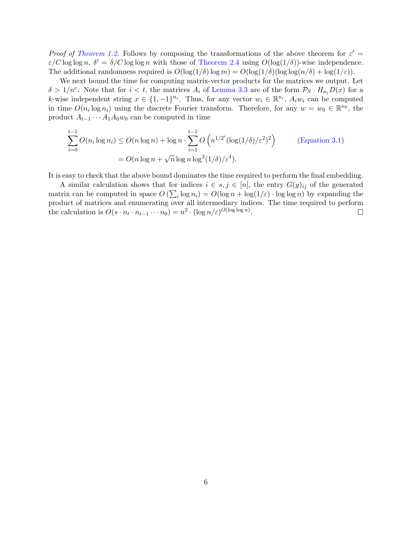Proof of [Theorem 1.2.](#page-1-1) Follows by composing the transformations of the above theorem for  $\varepsilon' =$  $\varepsilon/C \log \log n$ ,  $\delta' = \delta/C \log \log n$  with those of [Theorem 2.4](#page-3-4) using  $O(\log(1/\delta))$ -wise independence. The additional randomness required is  $O(\log(1/\delta)\log m) = O(\log(1/\delta)(\log \log(n/\delta) + \log(1/\varepsilon)).$ 

We next bound the time for computing matrix-vector products for the matrices we output. Let  $\delta > 1/n^c$ . Note that for  $i < t$ , the matrices  $A_i$  of [Lemma 3.3](#page-4-1) are of the form  $\mathcal{P}_S \cdot H_{n_i}D(x)$  for a k-wise independent string  $x \in \{1, -1\}^{n_i}$ . Thus, for any vector  $w_i \in \mathbb{R}^{n_i}$ ,  $A_i w_i$  can be computed in time  $O(n_i \log n_i)$  using the discrete Fourier transform. Therefore, for any  $w = w_0 \in \mathbb{R}^{n_0}$ , the product  $A_{t-1} \cdots A_1 A_0 w_0$  can be computed in time

$$
\sum_{i=0}^{t-1} O(n_i \log n_i) \le O(n \log n) + \log n \cdot \sum_{i=1}^{t-1} O\left(n^{1/2^i} (\log(1/\delta)/\varepsilon^2)^2\right)
$$
 (Equation 3.1)  
=  $O(n \log n + \sqrt{n} \log n \log^2(1/\delta)/\varepsilon^4)$ .

It is easy to check that the above bound dominates the time required to perform the final embedding.

A similar calculation shows that for indices  $i \in s, j \in [n]$ , the entry  $G(y)_{ij}$  of the generated matrix can be computed in space  $O\left(\sum_i \log n_i\right) = O(\log n + \log(1/\varepsilon) \cdot \log \log n)$  by expanding the product of matrices and enumerating over all intermediary indices. The time required to perform the calculation is  $O(s \cdot n_t \cdot n_{t-1} \cdots n_0) = n^2 \cdot (\log n/\varepsilon)^{O(\log \log n)}$ .  $\Box$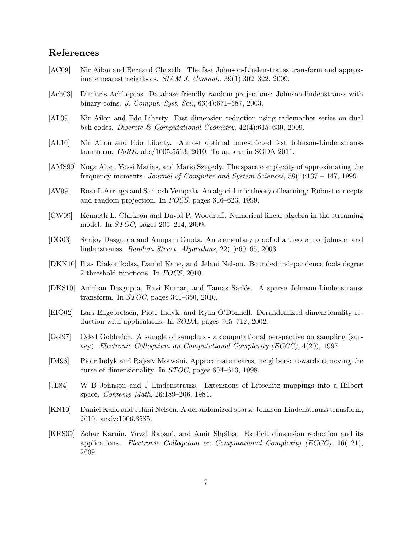## References

- <span id="page-7-12"></span>[AC09] Nir Ailon and Bernard Chazelle. The fast Johnson-Lindenstrauss transform and approximate nearest neighbors. SIAM J. Comput., 39(1):302–322, 2009.
- <span id="page-7-4"></span>[Ach03] Dimitris Achlioptas. Database-friendly random projections: Johnson-lindenstrauss with binary coins. J. Comput. Syst. Sci., 66(4):671–687, 2003.
- <span id="page-7-13"></span>[AL09] Nir Ailon and Edo Liberty. Fast dimension reduction using rademacher series on dual bch codes. Discrete & Computational Geometry, 42(4):615–630, 2009.
- <span id="page-7-15"></span>[AL10] Nir Ailon and Edo Liberty. Almost optimal unrestricted fast Johnson-Lindenstrauss transform. CoRR, abs/1005.5513, 2010. To appear in SODA 2011.
- <span id="page-7-8"></span>[AMS99] Noga Alon, Yossi Matias, and Mario Szegedy. The space complexity of approximating the frequency moments. Journal of Computer and System Sciences, 58(1):137 – 147, 1999.
- <span id="page-7-1"></span>[AV99] Rosa I. Arriaga and Santosh Vempala. An algorithmic theory of learning: Robust concepts and random projection. In FOCS, pages 616–623, 1999.
- <span id="page-7-5"></span>[CW09] Kenneth L. Clarkson and David P. Woodruff. Numerical linear algebra in the streaming model. In STOC, pages 205–214, 2009.
- <span id="page-7-2"></span>[DG03] Sanjoy Dasgupta and Anupam Gupta. An elementary proof of a theorem of johnson and lindenstrauss. Random Struct. Algorithms, 22(1):60–65, 2003.
- <span id="page-7-10"></span>[DKN10] Ilias Diakonikolas, Daniel Kane, and Jelani Nelson. Bounded independence fools degree 2 threshold functions. In FOCS, 2010.
- <span id="page-7-14"></span>[DKS10] Anirban Dasgupta, Ravi Kumar, and Tamás Sarlós. A sparse Johnson-Lindenstrauss transform. In STOC, pages 341–350, 2010.
- <span id="page-7-11"></span>[EIO02] Lars Engebretsen, Piotr Indyk, and Ryan O'Donnell. Derandomized dimensionality reduction with applications. In SODA, pages 705–712, 2002.
- <span id="page-7-6"></span>[Gol97] Oded Goldreich. A sample of samplers - a computational perspective on sampling (survey). Electronic Colloquium on Computational Complexity (ECCC), 4(20), 1997.
- <span id="page-7-3"></span>[IM98] Piotr Indyk and Rajeev Motwani. Approximate nearest neighbors: towards removing the curse of dimensionality. In STOC, pages 604–613, 1998.
- <span id="page-7-0"></span>[JL84] W B Johnson and J Lindenstrauss. Extensions of Lipschitz mappings into a Hilbert space. Contemp Math, 26:189–206, 1984.
- <span id="page-7-7"></span>[KN10] Daniel Kane and Jelani Nelson. A derandomized sparse Johnson-Lindenstrauss transform, 2010. arxiv:1006.3585.
- <span id="page-7-9"></span>[KRS09] Zohar Karnin, Yuval Rabani, and Amir Shpilka. Explicit dimension reduction and its applications. Electronic Colloquium on Computational Complexity (ECCC), 16(121), 2009.